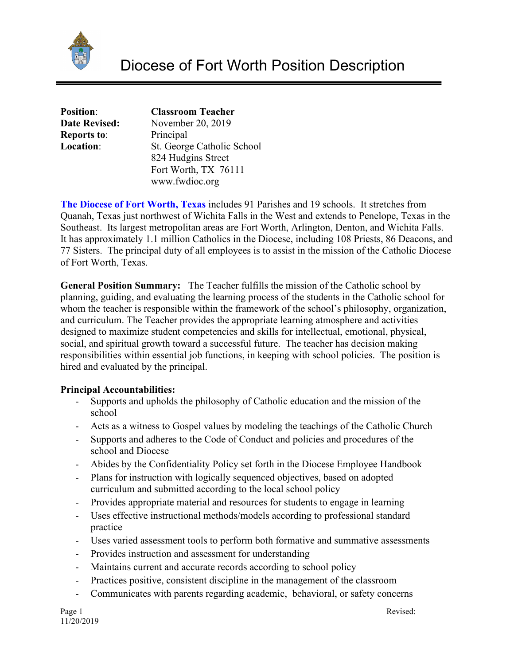

| <b>Position:</b>     | <b>Classroom Teacher</b>   |
|----------------------|----------------------------|
| <b>Date Revised:</b> | November 20, 2019          |
| <b>Reports to:</b>   | Principal                  |
| <b>Location:</b>     | St. George Catholic School |
|                      | 824 Hudgins Street         |
|                      | Fort Worth, TX 76111       |
|                      | www.fwdioc.org             |

**The Diocese of Fort Worth, Texas** includes 91 Parishes and 19 schools. It stretches from Quanah, Texas just northwest of Wichita Falls in the West and extends to Penelope, Texas in the Southeast. Its largest metropolitan areas are Fort Worth, Arlington, Denton, and Wichita Falls. It has approximately 1.1 million Catholics in the Diocese, including 108 Priests, 86 Deacons, and 77 Sisters. The principal duty of all employees is to assist in the mission of the Catholic Diocese of Fort Worth, Texas.

**General Position Summary:** The Teacher fulfills the mission of the Catholic school by planning, guiding, and evaluating the learning process of the students in the Catholic school for whom the teacher is responsible within the framework of the school's philosophy, organization, and curriculum. The Teacher provides the appropriate learning atmosphere and activities designed to maximize student competencies and skills for intellectual, emotional, physical, social, and spiritual growth toward a successful future. The teacher has decision making responsibilities within essential job functions, in keeping with school policies. The position is hired and evaluated by the principal.

# **Principal Accountabilities:**

- Supports and upholds the philosophy of Catholic education and the mission of the school
- Acts as a witness to Gospel values by modeling the teachings of the Catholic Church
- Supports and adheres to the Code of Conduct and policies and procedures of the school and Diocese
- Abides by the Confidentiality Policy set forth in the Diocese Employee Handbook
- Plans for instruction with logically sequenced objectives, based on adopted curriculum and submitted according to the local school policy
- Provides appropriate material and resources for students to engage in learning
- Uses effective instructional methods/models according to professional standard practice
- Uses varied assessment tools to perform both formative and summative assessments
- Provides instruction and assessment for understanding
- Maintains current and accurate records according to school policy
- Practices positive, consistent discipline in the management of the classroom
- Communicates with parents regarding academic, behavioral, or safety concerns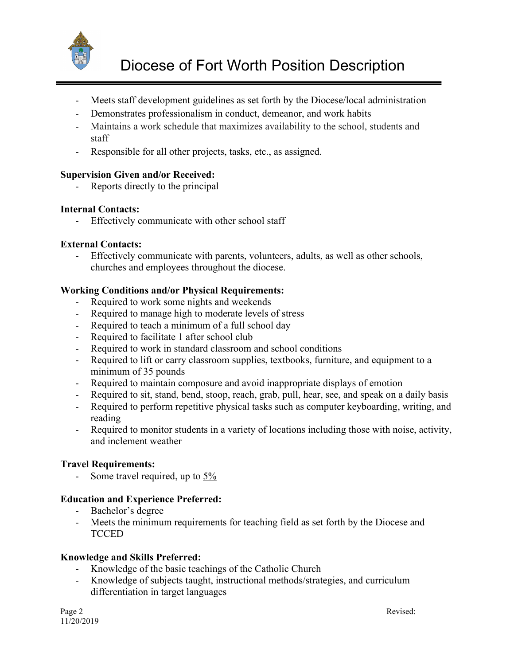

- Meets staff development guidelines as set forth by the Diocese/local administration
- Demonstrates professionalism in conduct, demeanor, and work habits
- Maintains a work schedule that maximizes availability to the school, students and staff
- Responsible for all other projects, tasks, etc., as assigned.

## **Supervision Given and/or Received:**

- Reports directly to the principal

### **Internal Contacts:**

Effectively communicate with other school staff

## **External Contacts:**

Effectively communicate with parents, volunteers, adults, as well as other schools, churches and employees throughout the diocese.

# **Working Conditions and/or Physical Requirements:**

- Required to work some nights and weekends
- Required to manage high to moderate levels of stress
- Required to teach a minimum of a full school day
- Required to facilitate 1 after school club
- Required to work in standard classroom and school conditions
- Required to lift or carry classroom supplies, textbooks, furniture, and equipment to a minimum of 35 pounds
- Required to maintain composure and avoid inappropriate displays of emotion
- Required to sit, stand, bend, stoop, reach, grab, pull, hear, see, and speak on a daily basis
- Required to perform repetitive physical tasks such as computer keyboarding, writing, and reading
- Required to monitor students in a variety of locations including those with noise, activity, and inclement weather

### **Travel Requirements:**

- Some travel required, up to 5%

# **Education and Experience Preferred:**

- Bachelor's degree
- Meets the minimum requirements for teaching field as set forth by the Diocese and **TCCED**

# **Knowledge and Skills Preferred:**

- Knowledge of the basic teachings of the Catholic Church
- Knowledge of subjects taught, instructional methods/strategies, and curriculum differentiation in target languages